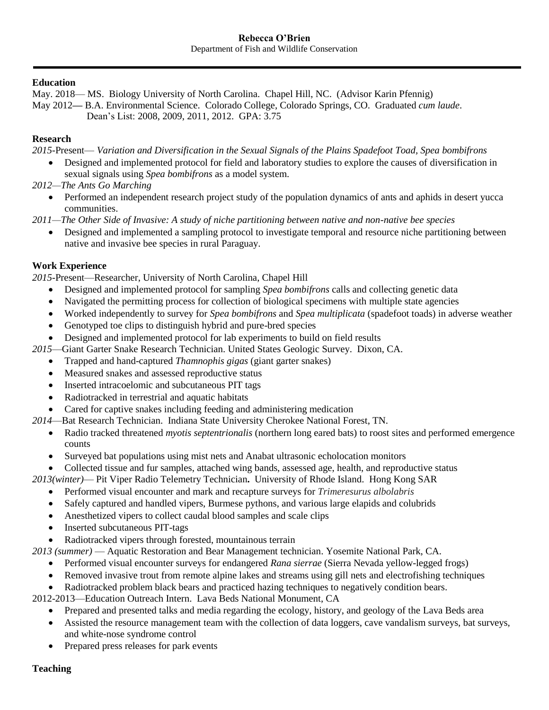#### **Education**

May. 2018— MS. Biology University of North Carolina. Chapel Hill, NC. (Advisor Karin Pfennig) May 2012**—** B.A. Environmental Science. Colorado College, Colorado Springs, CO. Graduated *cum laude*. Dean's List: 2008, 2009, 2011, 2012. GPA: 3.75

#### **Research**

*2015-*Present— *Variation and Diversification in the Sexual Signals of the Plains Spadefoot Toad, Spea bombifrons*

• Designed and implemented protocol for field and laboratory studies to explore the causes of diversification in sexual signals using *Spea bombifrons* as a model system.

*2012—The Ants Go Marching*

- Performed an independent research project study of the population dynamics of ants and aphids in desert yucca communities.
- *2011—The Other Side of Invasive: A study of niche partitioning between native and non-native bee species*
	- Designed and implemented a sampling protocol to investigate temporal and resource niche partitioning between native and invasive bee species in rural Paraguay.

## **Work Experience**

*2015-*Present—Researcher, University of North Carolina, Chapel Hill

- Designed and implemented protocol for sampling *Spea bombifrons* calls and collecting genetic data
- Navigated the permitting process for collection of biological specimens with multiple state agencies
- Worked independently to survey for *Spea bombifrons* and *Spea multiplicata* (spadefoot toads) in adverse weather
- Genotyped toe clips to distinguish hybrid and pure-bred species
- Designed and implemented protocol for lab experiments to build on field results
- *2015*—Giant Garter Snake Research Technician. United States Geologic Survey. Dixon, CA.
	- Trapped and hand-captured *Thamnophis gigas* (giant garter snakes)
	- Measured snakes and assessed reproductive status
	- Inserted intracoelomic and subcutaneous PIT tags
	- Radiotracked in terrestrial and aquatic habitats
	- Cared for captive snakes including feeding and administering medication
- *2014*—Bat Research Technician. Indiana State University Cherokee National Forest, TN.
	- Radio tracked threatened *myotis septentrionalis* (northern long eared bats) to roost sites and performed emergence counts
	- Surveyed bat populations using mist nets and Anabat ultrasonic echolocation monitors
	- Collected tissue and fur samples, attached wing bands, assessed age, health, and reproductive status

*2013(winter)*— Pit Viper Radio Telemetry Technician**.** University of Rhode Island. Hong Kong SAR

- Performed visual encounter and mark and recapture surveys for *Trimeresurus albolabris*
- Safely captured and handled vipers, Burmese pythons, and various large elapids and colubrids
- Anesthetized vipers to collect caudal blood samples and scale clips
- Inserted subcutaneous PIT-tags
- Radiotracked vipers through forested, mountainous terrain
- *2013 (summer)*  Aquatic Restoration and Bear Management technician. Yosemite National Park, CA.
	- Performed visual encounter surveys for endangered *Rana sierrae* (Sierra Nevada yellow-legged frogs)
	- Removed invasive trout from remote alpine lakes and streams using gill nets and electrofishing techniques
	- Radiotracked problem black bears and practiced hazing techniques to negatively condition bears.
- 2012-2013—Education Outreach Intern. Lava Beds National Monument, CA
	- Prepared and presented talks and media regarding the ecology, history, and geology of the Lava Beds area
	- Assisted the resource management team with the collection of data loggers, cave vandalism surveys, bat surveys, and white-nose syndrome control
	- Prepared press releases for park events

## **Teaching**